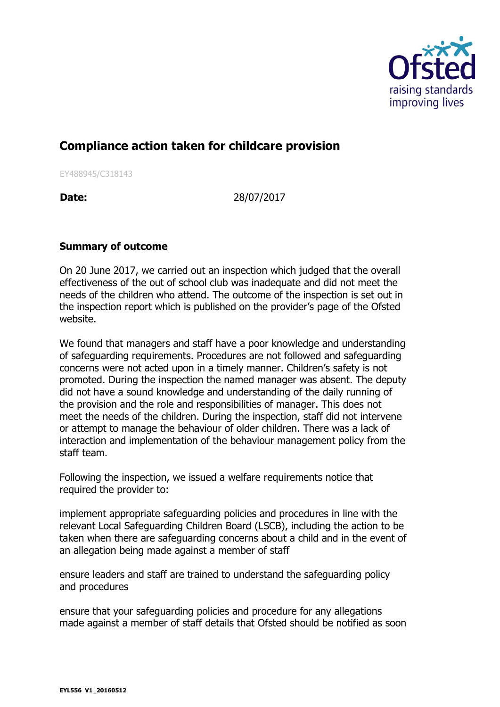

## **Compliance action taken for childcare provision**

EY488945/C318143

**Date:** 28/07/2017

## **Summary of outcome**

On 20 June 2017, we carried out an inspection which judged that the overall effectiveness of the out of school club was inadequate and did not meet the needs of the children who attend. The outcome of the inspection is set out in the inspection report which is published on the provider's page of the Ofsted website.

We found that managers and staff have a poor knowledge and understanding of safeguarding requirements. Procedures are not followed and safeguarding concerns were not acted upon in a timely manner. Children's safety is not promoted. During the inspection the named manager was absent. The deputy did not have a sound knowledge and understanding of the daily running of the provision and the role and responsibilities of manager. This does not meet the needs of the children. During the inspection, staff did not intervene or attempt to manage the behaviour of older children. There was a lack of interaction and implementation of the behaviour management policy from the staff team.

Following the inspection, we issued a welfare requirements notice that required the provider to:

implement appropriate safeguarding policies and procedures in line with the relevant Local Safeguarding Children Board (LSCB), including the action to be taken when there are safeguarding concerns about a child and in the event of an allegation being made against a member of staff

ensure leaders and staff are trained to understand the safeguarding policy and procedures

ensure that your safeguarding policies and procedure for any allegations made against a member of staff details that Ofsted should be notified as soon